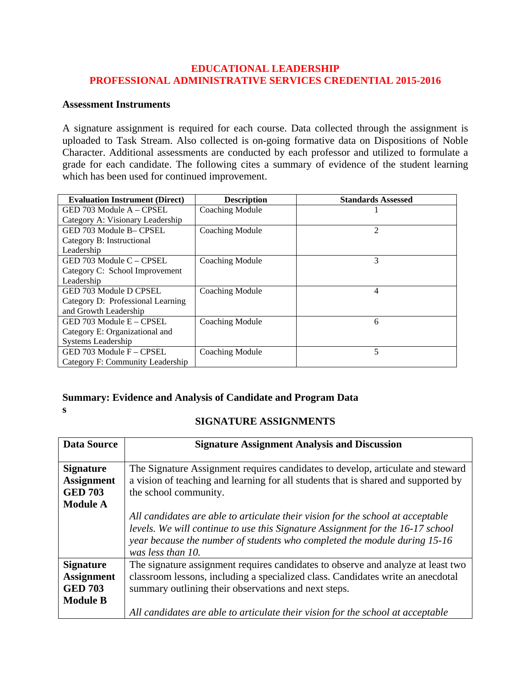## **EDUCATIONAL LEADERSHIP PROFESSIONAL ADMINISTRATIVE SERVICES CREDENTIAL 2015-2016**

## **Assessment Instruments**

A signature assignment is required for each course. Data collected through the assignment is uploaded to Task Stream. Also collected is on-going formative data on Dispositions of Noble Character. Additional assessments are conducted by each professor and utilized to formulate a grade for each candidate. The following cites a summary of evidence of the student learning which has been used for continued improvement.

| <b>Evaluation Instrument (Direct)</b> | <b>Description</b>     | <b>Standards Assessed</b> |
|---------------------------------------|------------------------|---------------------------|
| GED 703 Module A – CPSEL              | <b>Coaching Module</b> |                           |
| Category A: Visionary Leadership      |                        |                           |
| GED 703 Module B-CPSEL                | Coaching Module        | 2                         |
| Category B: Instructional             |                        |                           |
| Leadership                            |                        |                           |
| GED 703 Module C - CPSEL              | Coaching Module        | 3                         |
| Category C: School Improvement        |                        |                           |
| Leadership                            |                        |                           |
| GED 703 Module D CPSEL                | Coaching Module        | 4                         |
| Category D: Professional Learning     |                        |                           |
| and Growth Leadership                 |                        |                           |
| GED 703 Module E – CPSEL              | <b>Coaching Module</b> | 6                         |
| Category E: Organizational and        |                        |                           |
| Systems Leadership                    |                        |                           |
| GED 703 Module F - CPSEL              | <b>Coaching Module</b> | 5                         |
| Category F: Community Leadership      |                        |                           |

## **Summary: Evidence and Analysis of Candidate and Program Data**

**s**

## **SIGNATURE ASSIGNMENTS**

| <b>Data Source</b>                                                         | <b>Signature Assignment Analysis and Discussion</b>                                                                                                                                                                                                                 |
|----------------------------------------------------------------------------|---------------------------------------------------------------------------------------------------------------------------------------------------------------------------------------------------------------------------------------------------------------------|
| <b>Signature</b><br><b>Assignment</b><br><b>GED 703</b><br><b>Module A</b> | The Signature Assignment requires candidates to develop, articulate and steward<br>a vision of teaching and learning for all students that is shared and supported by<br>the school community.                                                                      |
|                                                                            | All candidates are able to articulate their vision for the school at acceptable<br>levels. We will continue to use this Signature Assignment for the 16-17 school<br>year because the number of students who completed the module during 15-16<br>was less than 10. |
| <b>Signature</b><br><b>Assignment</b><br><b>GED 703</b><br><b>Module B</b> | The signature assignment requires candidates to observe and analyze at least two<br>classroom lessons, including a specialized class. Candidates write an anecdotal<br>summary outlining their observations and next steps.                                         |
|                                                                            | All candidates are able to articulate their vision for the school at acceptable                                                                                                                                                                                     |